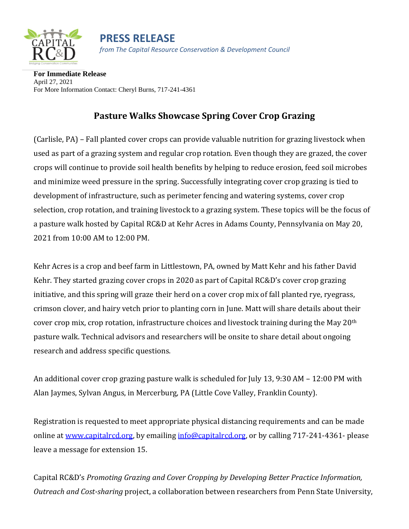



**For Immediate Release** April 27, 2021 For More Information Contact: Cheryl Burns, 717-241-4361

## **Pasture Walks Showcase Spring Cover Crop Grazing**

(Carlisle, PA) – Fall planted cover crops can provide valuable nutrition for grazing livestock when used as part of a grazing system and regular crop rotation. Even though they are grazed, the cover crops will continue to provide soil health benefits by helping to reduce erosion, feed soil microbes and minimize weed pressure in the spring. Successfully integrating cover crop grazing is tied to development of infrastructure, such as perimeter fencing and watering systems, cover crop selection, crop rotation, and training livestock to a grazing system. These topics will be the focus of a pasture walk hosted by Capital RC&D at Kehr Acres in Adams County, Pennsylvania on May 20, 2021 from 10:00 AM to 12:00 PM.

Kehr Acres is a crop and beef farm in Littlestown, PA, owned by Matt Kehr and his father David Kehr. They started grazing cover crops in 2020 as part of Capital RC&D's cover crop grazing initiative, and this spring will graze their herd on a cover crop mix of fall planted rye, ryegrass, crimson clover, and hairy vetch prior to planting corn in June. Matt will share details about their cover crop mix, crop rotation, infrastructure choices and livestock training during the May 20th pasture walk. Technical advisors and researchers will be onsite to share detail about ongoing research and address specific questions.

An additional cover crop grazing pasture walk is scheduled for July 13, 9:30 AM – 12:00 PM with Alan Jaymes, Sylvan Angus, in Mercerburg, PA (Little Cove Valley, Franklin County).

Registration is requested to meet appropriate physical distancing requirements and can be made online at [www.capitalrcd.org,](about:blank) by emailing [info@capitalrcd.org,](about:blank) or by calling 717-241-4361- please leave a message for extension 15.

Capital RC&D's *Promoting Grazing and Cover Cropping by Developing Better Practice Information, Outreach and Cost-sharing* project, a collaboration between researchers from Penn State University,